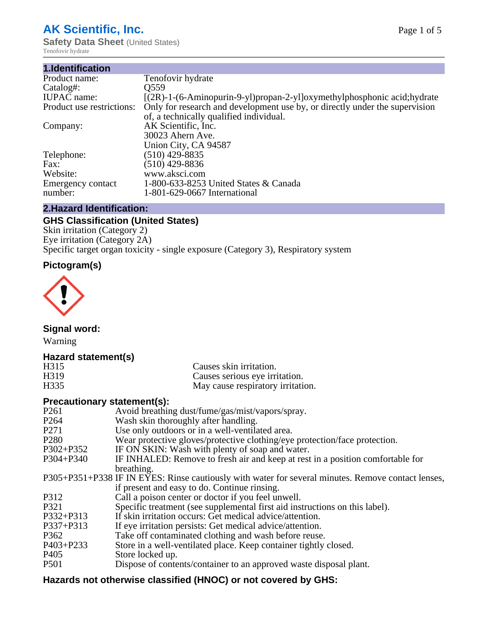# **AK Scientific, Inc.**

**Safety Data Sheet (United States)** Tenofovir hydrate

| 1.Identification          |                                                                              |
|---------------------------|------------------------------------------------------------------------------|
| Product name:             | Tenofovir hydrate                                                            |
| Catalog#:                 | Q <sub>559</sub>                                                             |
| <b>IUPAC</b> name:        | $[(2R)-1-(6-Aminopurin-9-y1)propan-2-y1]$ oxymethyl phosphonic acid; hydrate |
| Product use restrictions: | Only for research and development use by, or directly under the supervision  |
|                           | of, a technically qualified individual.                                      |
| Company:                  | AK Scientific, Inc.                                                          |
|                           | 30023 Ahern Ave.                                                             |
|                           | Union City, CA 94587                                                         |
| Telephone:                | $(510)$ 429-8835                                                             |
| Fax:                      | $(510)$ 429-8836                                                             |
| Website:                  | www.aksci.com                                                                |
| Emergency contact         | 1-800-633-8253 United States & Canada                                        |
| number:                   | 1-801-629-0667 International                                                 |
|                           |                                                                              |

# **2.Hazard Identification:**

# **GHS Classification (United States)**

Skin irritation (Category 2) Eye irritation (Category 2A) Specific target organ toxicity - single exposure (Category 3), Respiratory system

# **Pictogram(s)**



**Signal word:**

Warning

# **Hazard statement(s)**

| H <sub>315</sub>  | Causes skin irritation.           |
|-------------------|-----------------------------------|
| H <sub>3</sub> 19 | Causes serious eye irritation.    |
| H335              | May cause respiratory irritation. |

# **Precautionary statement(s):**

| P <sub>261</sub> | Avoid breathing dust/fume/gas/mist/vapors/spray.                                                   |
|------------------|----------------------------------------------------------------------------------------------------|
| P <sub>264</sub> | Wash skin thoroughly after handling.                                                               |
| P <sub>271</sub> | Use only outdoors or in a well-ventilated area.                                                    |
| P <sub>280</sub> | Wear protective gloves/protective clothing/eye protection/face protection.                         |
| P302+P352        | IF ON SKIN: Wash with plenty of soap and water.                                                    |
| $P304 + P340$    | IF INHALED: Remove to fresh air and keep at rest in a position comfortable for                     |
|                  | breathing.                                                                                         |
|                  | P305+P351+P338 IF IN EYES: Rinse cautiously with water for several minutes. Remove contact lenses, |
|                  | if present and easy to do. Continue rinsing.                                                       |
| P312             | Call a poison center or doctor if you feel unwell.                                                 |
| P321             | Specific treatment (see supplemental first aid instructions on this label).                        |
| P332+P313        | If skin irritation occurs: Get medical advice/attention.                                           |
| P337+P313        | If eye irritation persists: Get medical advice/attention.                                          |
| P362             | Take off contaminated clothing and wash before reuse.                                              |
| P403+P233        | Store in a well-ventilated place. Keep container tightly closed.                                   |
| P <sub>405</sub> | Store locked up.                                                                                   |
| P <sub>501</sub> | Dispose of contents/container to an approved waste disposal plant.                                 |
|                  |                                                                                                    |

# **Hazards not otherwise classified (HNOC) or not covered by GHS:**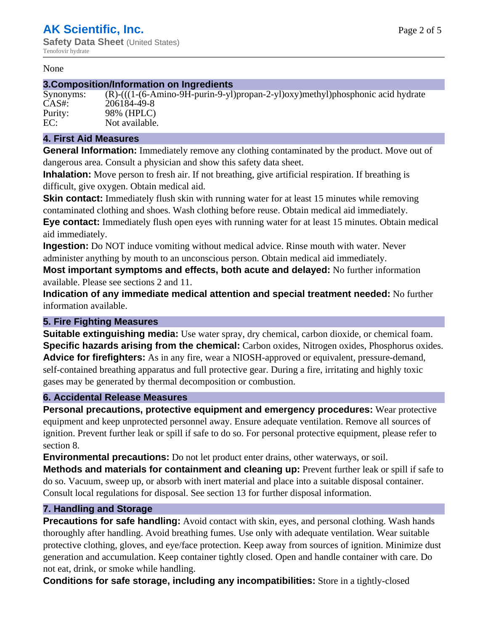#### None

#### **3.Composition/Information on Ingredients**

| Synonyms: | $(R)$ - $((R)$ |
|-----------|----------------|
| CAS#      | 20618          |
| Purity:   | 98% (1         |
| EC:       | Not av         |

(1-(6-Amino-9H-purin-9-yl)propan-2-yl)oxy)methyl)phosphonic acid hydrate 4-49-8 HPLC) vailable.

### **4. First Aid Measures**

**General Information:** Immediately remove any clothing contaminated by the product. Move out of dangerous area. Consult a physician and show this safety data sheet.

**Inhalation:** Move person to fresh air. If not breathing, give artificial respiration. If breathing is difficult, give oxygen. Obtain medical aid.

**Skin contact:** Immediately flush skin with running water for at least 15 minutes while removing contaminated clothing and shoes. Wash clothing before reuse. Obtain medical aid immediately. **Eye contact:** Immediately flush open eyes with running water for at least 15 minutes. Obtain medical aid immediately.

**Ingestion:** Do NOT induce vomiting without medical advice. Rinse mouth with water. Never administer anything by mouth to an unconscious person. Obtain medical aid immediately.

**Most important symptoms and effects, both acute and delayed:** No further information available. Please see sections 2 and 11.

**Indication of any immediate medical attention and special treatment needed:** No further information available.

# **5. Fire Fighting Measures**

**Suitable extinguishing media:** Use water spray, dry chemical, carbon dioxide, or chemical foam. **Specific hazards arising from the chemical:** Carbon oxides, Nitrogen oxides, Phosphorus oxides. **Advice for firefighters:** As in any fire, wear a NIOSH-approved or equivalent, pressure-demand, self-contained breathing apparatus and full protective gear. During a fire, irritating and highly toxic gases may be generated by thermal decomposition or combustion.

#### **6. Accidental Release Measures**

**Personal precautions, protective equipment and emergency procedures:** Wear protective equipment and keep unprotected personnel away. Ensure adequate ventilation. Remove all sources of ignition. Prevent further leak or spill if safe to do so. For personal protective equipment, please refer to section 8.

**Environmental precautions:** Do not let product enter drains, other waterways, or soil.

**Methods and materials for containment and cleaning up:** Prevent further leak or spill if safe to do so. Vacuum, sweep up, or absorb with inert material and place into a suitable disposal container. Consult local regulations for disposal. See section 13 for further disposal information.

### **7. Handling and Storage**

**Precautions for safe handling:** Avoid contact with skin, eyes, and personal clothing. Wash hands thoroughly after handling. Avoid breathing fumes. Use only with adequate ventilation. Wear suitable protective clothing, gloves, and eye/face protection. Keep away from sources of ignition. Minimize dust generation and accumulation. Keep container tightly closed. Open and handle container with care. Do not eat, drink, or smoke while handling.

**Conditions for safe storage, including any incompatibilities:** Store in a tightly-closed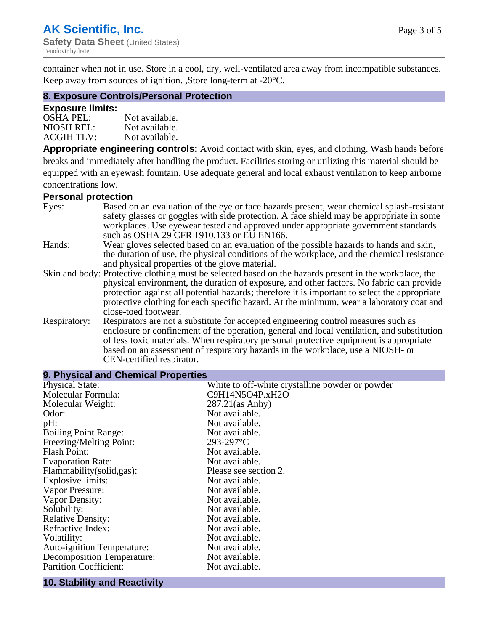container when not in use. Store in a cool, dry, well-ventilated area away from incompatible substances. Keep away from sources of ignition. ,Store long-term at -20°C.

#### **8. Exposure Controls/Personal Protection**

#### **Exposure limits:**

| $OSHA$ PEL:       | Not available. |
|-------------------|----------------|
| NIOSH REL:        | Not available. |
| <b>ACGIH TLV:</b> | Not available. |

**Appropriate engineering controls:** Avoid contact with skin, eyes, and clothing. Wash hands before breaks and immediately after handling the product. Facilities storing or utilizing this material should be equipped with an eyewash fountain. Use adequate general and local exhaust ventilation to keep airborne concentrations low.

#### **Personal protection**

| Eyes:        | Based on an evaluation of the eye or face hazards present, wear chemical splash-resistant<br>safety glasses or goggles with side protection. A face shield may be appropriate in some<br>workplaces. Use eyewear tested and approved under appropriate government standards |
|--------------|-----------------------------------------------------------------------------------------------------------------------------------------------------------------------------------------------------------------------------------------------------------------------------|
|              | such as OSHA 29 CFR 1910.133 or EU EN166.                                                                                                                                                                                                                                   |
| Hands:       | Wear gloves selected based on an evaluation of the possible hazards to hands and skin,                                                                                                                                                                                      |
|              | the duration of use, the physical conditions of the workplace, and the chemical resistance                                                                                                                                                                                  |
|              | and physical properties of the glove material.                                                                                                                                                                                                                              |
|              | Skin and body: Protective clothing must be selected based on the hazards present in the workplace, the                                                                                                                                                                      |
|              | physical environment, the duration of exposure, and other factors. No fabric can provide                                                                                                                                                                                    |
|              | protection against all potential hazards; therefore it is important to select the appropriate                                                                                                                                                                               |
|              | protective clothing for each specific hazard. At the minimum, wear a laboratory coat and                                                                                                                                                                                    |
|              | close-toed footwear.                                                                                                                                                                                                                                                        |
| Respiratory: | Respirators are not a substitute for accepted engineering control measures such as<br>enclosure or confinement of the operation, general and local ventilation, and substitution<br>of less toxic materials. When respiratory personal protective equipment is appropriate  |
|              | based on an assessment of respiratory hazards in the workplace, use a NIOSH- or                                                                                                                                                                                             |
|              | CEN-certified respirator.                                                                                                                                                                                                                                                   |
|              |                                                                                                                                                                                                                                                                             |

| 9. Physical and Chemical Properties          |                                                 |  |
|----------------------------------------------|-------------------------------------------------|--|
| <b>Physical State:</b>                       | White to off-white crystalline powder or powder |  |
| Molecular Formula:                           | C9H14N5O4P.xH2O                                 |  |
| Molecular Weight:                            | $287.21$ (as Anhy)                              |  |
| Odor:                                        | Not available.                                  |  |
| pH:                                          | Not available.                                  |  |
| <b>Boiling Point Range:</b>                  | Not available.                                  |  |
| Freezing/Melting Point:                      | $293 - 297$ °C                                  |  |
| <b>Flash Point:</b>                          | Not available.                                  |  |
| <b>Evaporation Rate:</b>                     | Not available.                                  |  |
| Flammability(solid,gas):                     | Please see section 2.                           |  |
| Explosive limits:                            | Not available.                                  |  |
| Vapor Pressure:                              | Not available.                                  |  |
| Vapor Density:                               | Not available.                                  |  |
| Solubility:                                  | Not available.                                  |  |
| <b>Relative Density:</b>                     | Not available.                                  |  |
| Refractive Index:                            | Not available.                                  |  |
| Volatility:                                  | Not available.                                  |  |
| Auto-ignition Temperature:                   | Not available.                                  |  |
| Decomposition Temperature:                   | Not available.                                  |  |
| <b>Partition Coefficient:</b>                | Not available.                                  |  |
| the control of the control of the control of |                                                 |  |

#### **10. Stability and Reactivity**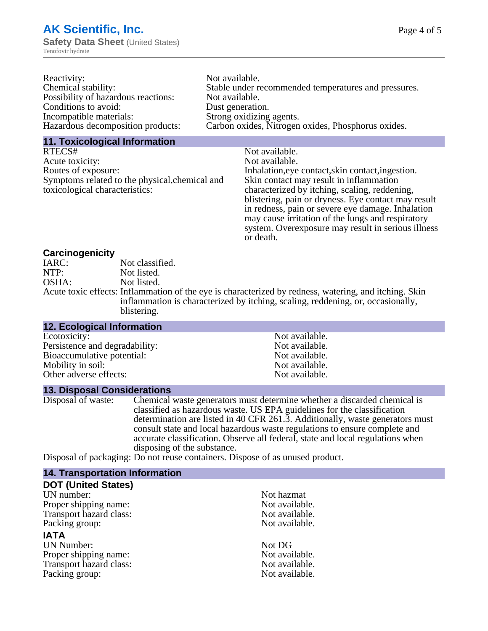| Reactivity:                         | Not available.                                       |
|-------------------------------------|------------------------------------------------------|
| Chemical stability:                 | Stable under recommended temperatures and pressures. |
| Possibility of hazardous reactions: | Not available.                                       |
| Conditions to avoid:                | Dust generation.                                     |
| Incompatible materials:             | Strong oxidizing agents.                             |
| Hazardous decomposition products:   | Carbon oxides, Nitrogen oxides, Phosphorus oxides.   |
|                                     |                                                      |

#### **11. Toxicological Information**

| RTECS#                                         | Not available.                                      |
|------------------------------------------------|-----------------------------------------------------|
| Acute toxicity:                                | Not available.                                      |
| Routes of exposure:                            | Inhalation, eye contact, skin contact, ingestion.   |
| Symptoms related to the physical, chemical and | Skin contact may result in inflammation             |
| toxicological characteristics:                 | characterized by itching, scaling, reddening,       |
|                                                | blistering, pain or dryness. Eye contact may result |
|                                                | in redness, pain or severe eye damage. Inhalation   |
|                                                | may cause irritation of the lungs and respiratory   |
|                                                | system. Overexposure may result in serious illness  |

or death.

### **Carcinogenicity**

| IARC: | Not classified.                                                                                       |
|-------|-------------------------------------------------------------------------------------------------------|
| NTP:  | Not listed.                                                                                           |
| OSHA: | Not listed.                                                                                           |
|       | Acute toxic effects: Inflammation of the eye is characterized by redness, watering, and itching. Skin |
|       | inflammation is characterized by itching, scaling, reddening, or, occasionally,                       |
|       | blistering.                                                                                           |

| 12. Ecological Information     |                |
|--------------------------------|----------------|
| Ecotoxicity:                   | Not available. |
| Persistence and degradability: | Not available. |
| Bioaccumulative potential:     | Not available. |
| Mobility in soil:              | Not available. |
| Other adverse effects:         | Not available. |

### **13. Disposal Considerations**

Disposal of waste: Chemical waste generators must determine whether a discarded chemical is classified as hazardous waste. US EPA guidelines for the classification determination are listed in 40 CFR 261.3. Additionally, waste generators must consult state and local hazardous waste regulations to ensure complete and accurate classification. Observe all federal, state and local regulations when disposing of the substance.

Disposal of packaging: Do not reuse containers. Dispose of as unused product.

| <b>14. Transportation Information</b> |                |
|---------------------------------------|----------------|
| <b>DOT (United States)</b>            |                |
| UN number:                            | Not hazmat     |
| Proper shipping name:                 | Not available. |
| Transport hazard class:               | Not available. |
| Packing group:                        | Not available. |
| <b>IATA</b>                           |                |
| <b>UN Number:</b>                     | Not DG         |
| Proper shipping name:                 | Not available. |
| Transport hazard class:               | Not available. |
| Packing group:                        | Not available. |